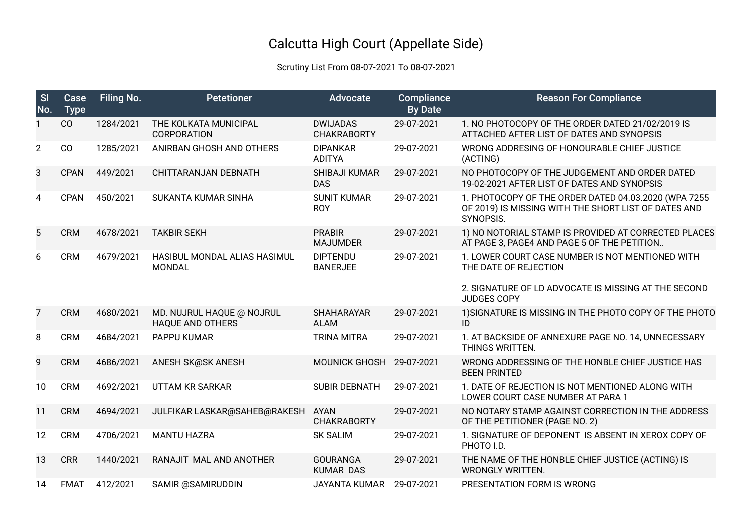## Calcutta High Court (Appellate Side)

## Scrutiny List From 08-07-2021 To 08-07-2021

| S <sub>l</sub><br>No. | Case<br><b>Type</b> | <b>Filing No.</b> | <b>Petetioner</b>                                    | Advocate                              | Compliance<br><b>By Date</b> | <b>Reason For Compliance</b>                                                                                              |
|-----------------------|---------------------|-------------------|------------------------------------------------------|---------------------------------------|------------------------------|---------------------------------------------------------------------------------------------------------------------------|
|                       | CO                  | 1284/2021         | THE KOLKATA MUNICIPAL<br><b>CORPORATION</b>          | <b>DWIJADAS</b><br><b>CHAKRABORTY</b> | 29-07-2021                   | 1. NO PHOTOCOPY OF THE ORDER DATED 21/02/2019 IS<br>ATTACHED AFTER LIST OF DATES AND SYNOPSIS                             |
| $\overline{2}$        | CO                  | 1285/2021         | ANIRBAN GHOSH AND OTHERS                             | <b>DIPANKAR</b><br><b>ADITYA</b>      | 29-07-2021                   | WRONG ADDRESING OF HONOURABLE CHIEF JUSTICE<br>(ACTING)                                                                   |
| 3                     | <b>CPAN</b>         | 449/2021          | CHITTARANJAN DEBNATH                                 | <b>SHIBAJI KUMAR</b><br><b>DAS</b>    | 29-07-2021                   | NO PHOTOCOPY OF THE JUDGEMENT AND ORDER DATED<br>19-02-2021 AFTER LIST OF DATES AND SYNOPSIS                              |
| 4                     | <b>CPAN</b>         | 450/2021          | SUKANTA KUMAR SINHA                                  | <b>SUNIT KUMAR</b><br><b>ROY</b>      | 29-07-2021                   | 1. PHOTOCOPY OF THE ORDER DATED 04.03.2020 (WPA 7255<br>OF 2019) IS MISSING WITH THE SHORT LIST OF DATES AND<br>SYNOPSIS. |
| 5                     | <b>CRM</b>          | 4678/2021         | <b>TAKBIR SEKH</b>                                   | <b>PRABIR</b><br><b>MAJUMDER</b>      | 29-07-2021                   | 1) NO NOTORIAL STAMP IS PROVIDED AT CORRECTED PLACES<br>AT PAGE 3, PAGE4 AND PAGE 5 OF THE PETITION                       |
| 6                     | <b>CRM</b>          | 4679/2021         | HASIBUL MONDAL ALIAS HASIMUL<br><b>MONDAL</b>        | <b>DIPTENDU</b><br><b>BANERJEE</b>    | 29-07-2021                   | 1. LOWER COURT CASE NUMBER IS NOT MENTIONED WITH<br>THE DATE OF REJECTION                                                 |
|                       |                     |                   |                                                      |                                       |                              | 2. SIGNATURE OF LD ADVOCATE IS MISSING AT THE SECOND<br><b>JUDGES COPY</b>                                                |
| 7                     | <b>CRM</b>          | 4680/2021         | MD. NUJRUL HAQUE @ NOJRUL<br><b>HAQUE AND OTHERS</b> | <b>SHAHARAYAR</b><br><b>ALAM</b>      | 29-07-2021                   | 1) SIGNATURE IS MISSING IN THE PHOTO COPY OF THE PHOTO<br>ID                                                              |
| 8                     | <b>CRM</b>          | 4684/2021         | PAPPU KUMAR                                          | <b>TRINA MITRA</b>                    | 29-07-2021                   | 1. AT BACKSIDE OF ANNEXURE PAGE NO. 14, UNNECESSARY<br>THINGS WRITTEN.                                                    |
| 9                     | <b>CRM</b>          | 4686/2021         | ANESH SK@SK ANESH                                    | <b>MOUNICK GHOSH</b>                  | 29-07-2021                   | WRONG ADDRESSING OF THE HONBLE CHIEF JUSTICE HAS<br><b>BEEN PRINTED</b>                                                   |
| 10                    | <b>CRM</b>          | 4692/2021         | <b>UTTAM KR SARKAR</b>                               | <b>SUBIR DEBNATH</b>                  | 29-07-2021                   | 1. DATE OF REJECTION IS NOT MENTIONED ALONG WITH<br>LOWER COURT CASE NUMBER AT PARA 1                                     |
| 11                    | <b>CRM</b>          | 4694/2021         | JULFIKAR LASKAR@SAHEB@RAKESH                         | <b>AYAN</b><br><b>CHAKRABORTY</b>     | 29-07-2021                   | NO NOTARY STAMP AGAINST CORRECTION IN THE ADDRESS<br>OF THE PETITIONER (PAGE NO. 2)                                       |
| 12                    | <b>CRM</b>          | 4706/2021         | <b>MANTU HAZRA</b>                                   | <b>SK SALIM</b>                       | 29-07-2021                   | 1. SIGNATURE OF DEPONENT IS ABSENT IN XEROX COPY OF<br>PHOTO I.D.                                                         |
| 13                    | <b>CRR</b>          | 1440/2021         | RANAJIT MAL AND ANOTHER                              | <b>GOURANGA</b><br><b>KUMAR DAS</b>   | 29-07-2021                   | THE NAME OF THE HONBLE CHIEF JUSTICE (ACTING) IS<br><b>WRONGLY WRITTEN.</b>                                               |
| 14                    | <b>FMAT</b>         | 412/2021          | SAMIR @SAMIRUDDIN                                    | <b>JAYANTA KUMAR</b>                  | 29-07-2021                   | PRESENTATION FORM IS WRONG                                                                                                |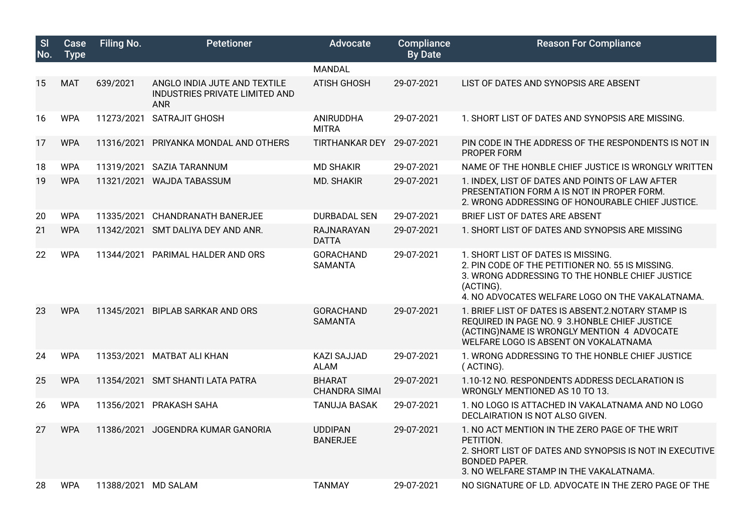| SI<br>No. | Case<br><b>Type</b> | <b>Filing No.</b>   | <b>Petetioner</b>                                                            | <b>Advocate</b>                       | Compliance<br><b>By Date</b> | <b>Reason For Compliance</b>                                                                                                                                                                               |
|-----------|---------------------|---------------------|------------------------------------------------------------------------------|---------------------------------------|------------------------------|------------------------------------------------------------------------------------------------------------------------------------------------------------------------------------------------------------|
|           |                     |                     |                                                                              | <b>MANDAL</b>                         |                              |                                                                                                                                                                                                            |
| 15        | <b>MAT</b>          | 639/2021            | ANGLO INDIA JUTE AND TEXTILE<br>INDUSTRIES PRIVATE LIMITED AND<br><b>ANR</b> | <b>ATISH GHOSH</b>                    | 29-07-2021                   | LIST OF DATES AND SYNOPSIS ARE ABSENT                                                                                                                                                                      |
| 16        | <b>WPA</b>          | 11273/2021          | SATRAJIT GHOSH                                                               | ANIRUDDHA<br><b>MITRA</b>             | 29-07-2021                   | 1. SHORT LIST OF DATES AND SYNOPSIS ARE MISSING.                                                                                                                                                           |
| 17        | <b>WPA</b>          | 11316/2021          | PRIYANKA MONDAL AND OTHERS                                                   | <b>TIRTHANKAR DEY</b>                 | 29-07-2021                   | PIN CODE IN THE ADDRESS OF THE RESPONDENTS IS NOT IN<br>PROPER FORM                                                                                                                                        |
| 18        | <b>WPA</b>          | 11319/2021          | SAZIA TARANNUM                                                               | <b>MD SHAKIR</b>                      | 29-07-2021                   | NAME OF THE HONBLE CHIEF JUSTICE IS WRONGLY WRITTEN                                                                                                                                                        |
| 19        | <b>WPA</b>          |                     | 11321/2021 WAJDA TABASSUM                                                    | <b>MD. SHAKIR</b>                     | 29-07-2021                   | 1. INDEX, LIST OF DATES AND POINTS OF LAW AFTER<br>PRESENTATION FORM A IS NOT IN PROPER FORM.<br>2. WRONG ADDRESSING OF HONOURABLE CHIEF JUSTICE.                                                          |
| 20        | <b>WPA</b>          | 11335/2021          | <b>CHANDRANATH BANERJEE</b>                                                  | <b>DURBADAL SEN</b>                   | 29-07-2021                   | BRIEF LIST OF DATES ARE ABSENT                                                                                                                                                                             |
| 21        | <b>WPA</b>          |                     | 11342/2021 SMT DALIYA DEY AND ANR.                                           | RAJNARAYAN<br><b>DATTA</b>            | 29-07-2021                   | 1. SHORT LIST OF DATES AND SYNOPSIS ARE MISSING                                                                                                                                                            |
| 22        | <b>WPA</b>          |                     | 11344/2021 PARIMAL HALDER AND ORS                                            | <b>GORACHAND</b><br><b>SAMANTA</b>    | 29-07-2021                   | 1. SHORT LIST OF DATES IS MISSING.<br>2. PIN CODE OF THE PETITIONER NO. 55 IS MISSING.<br>3. WRONG ADDRESSING TO THE HONBLE CHIEF JUSTICE<br>(ACTING).<br>4. NO ADVOCATES WELFARE LOGO ON THE VAKALATNAMA. |
| 23        | <b>WPA</b>          | 11345/2021          | <b>BIPLAB SARKAR AND ORS</b>                                                 | <b>GORACHAND</b><br><b>SAMANTA</b>    | 29-07-2021                   | 1. BRIEF LIST OF DATES IS ABSENT.2. NOTARY STAMP IS<br>REQUIRED IN PAGE NO. 9 3. HONBLE CHIEF JUSTICE<br>(ACTING)NAME IS WRONGLY MENTION 4 ADVOCATE<br>WELFARE LOGO IS ABSENT ON VOKALATNAMA               |
| 24        | <b>WPA</b>          | 11353/2021          | MATBAT ALI KHAN                                                              | <b>KAZI SAJJAD</b><br><b>ALAM</b>     | 29-07-2021                   | 1. WRONG ADDRESSING TO THE HONBLE CHIEF JUSTICE<br>(ACTING).                                                                                                                                               |
| 25        | <b>WPA</b>          | 11354/2021          | <b>SMT SHANTI LATA PATRA</b>                                                 | <b>BHARAT</b><br><b>CHANDRA SIMAI</b> | 29-07-2021                   | 1.10-12 NO. RESPONDENTS ADDRESS DECLARATION IS<br>WRONGLY MENTIONED AS 10 TO 13.                                                                                                                           |
| 26        | <b>WPA</b>          | 11356/2021          | PRAKASH SAHA                                                                 | <b>TANUJA BASAK</b>                   | 29-07-2021                   | 1. NO LOGO IS ATTACHED IN VAKALATNAMA AND NO LOGO<br>DECLAIRATION IS NOT ALSO GIVEN.                                                                                                                       |
| 27        | <b>WPA</b>          | 11386/2021          | JOGENDRA KUMAR GANORIA                                                       | <b>UDDIPAN</b><br><b>BANERJEE</b>     | 29-07-2021                   | 1. NO ACT MENTION IN THE ZERO PAGE OF THE WRIT<br>PETITION.<br>2. SHORT LIST OF DATES AND SYNOPSIS IS NOT IN EXECUTIVE<br><b>BONDED PAPER.</b><br>3. NO WELFARE STAMP IN THE VAKALATNAMA.                  |
| 28        | <b>WPA</b>          | 11388/2021 MD SALAM |                                                                              | <b>TANMAY</b>                         | 29-07-2021                   | NO SIGNATURE OF LD. ADVOCATE IN THE ZERO PAGE OF THE                                                                                                                                                       |